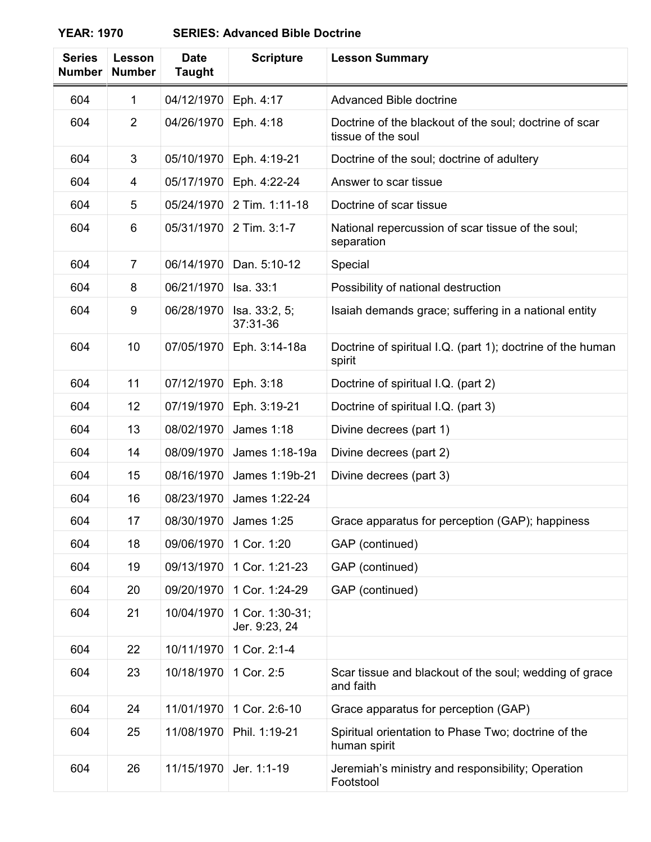## **YEAR: 1970 SERIES: Advanced Bible Doctrine**

| <b>Series</b><br><b>Number</b> | Lesson<br><b>Number</b> | <b>Date</b><br><b>Taught</b> | <b>Scripture</b>                 | <b>Lesson Summary</b>                                                        |
|--------------------------------|-------------------------|------------------------------|----------------------------------|------------------------------------------------------------------------------|
| 604                            | 1                       | 04/12/1970                   | Eph. 4:17                        | Advanced Bible doctrine                                                      |
| 604                            | $\overline{2}$          | 04/26/1970                   | Eph. 4:18                        | Doctrine of the blackout of the soul; doctrine of scar<br>tissue of the soul |
| 604                            | 3                       | 05/10/1970                   | Eph. 4:19-21                     | Doctrine of the soul; doctrine of adultery                                   |
| 604                            | 4                       | 05/17/1970                   | Eph. 4:22-24                     | Answer to scar tissue                                                        |
| 604                            | 5                       | 05/24/1970                   | 2 Tim. 1:11-18                   | Doctrine of scar tissue                                                      |
| 604                            | 6                       | 05/31/1970                   | 2 Tim. 3:1-7                     | National repercussion of scar tissue of the soul;<br>separation              |
| 604                            | 7                       | 06/14/1970                   | Dan. 5:10-12                     | Special                                                                      |
| 604                            | 8                       | 06/21/1970                   | Isa. 33:1                        | Possibility of national destruction                                          |
| 604                            | 9                       | 06/28/1970                   | Isa. 33:2, 5;<br>37:31-36        | Isaiah demands grace; suffering in a national entity                         |
| 604                            | 10                      | 07/05/1970                   | Eph. 3:14-18a                    | Doctrine of spiritual I.Q. (part 1); doctrine of the human<br>spirit         |
| 604                            | 11                      | 07/12/1970                   | Eph. 3:18                        | Doctrine of spiritual I.Q. (part 2)                                          |
| 604                            | 12                      | 07/19/1970                   | Eph. 3:19-21                     | Doctrine of spiritual I.Q. (part 3)                                          |
| 604                            | 13                      | 08/02/1970                   | <b>James 1:18</b>                | Divine decrees (part 1)                                                      |
| 604                            | 14                      | 08/09/1970                   | James 1:18-19a                   | Divine decrees (part 2)                                                      |
| 604                            | 15                      | 08/16/1970                   | James 1:19b-21                   | Divine decrees (part 3)                                                      |
| 604                            | 16                      | 08/23/1970                   | James 1:22-24                    |                                                                              |
| 604                            | 17                      |                              | 08/30/1970 James 1:25            | Grace apparatus for perception (GAP); happiness                              |
| 604                            | 18                      | 09/06/1970                   | 1 Cor. 1:20                      | GAP (continued)                                                              |
| 604                            | 19                      | 09/13/1970                   | 1 Cor. 1:21-23                   | GAP (continued)                                                              |
| 604                            | 20                      | 09/20/1970                   | 1 Cor. 1:24-29                   | GAP (continued)                                                              |
| 604                            | 21                      | 10/04/1970                   | 1 Cor. 1:30-31;<br>Jer. 9:23, 24 |                                                                              |
| 604                            | 22                      | 10/11/1970                   | 1 Cor. 2:1-4                     |                                                                              |
| 604                            | 23                      | 10/18/1970                   | 1 Cor. 2:5                       | Scar tissue and blackout of the soul; wedding of grace<br>and faith          |
| 604                            | 24                      | 11/01/1970                   | 1 Cor. 2:6-10                    | Grace apparatus for perception (GAP)                                         |
| 604                            | 25                      | 11/08/1970                   | Phil. 1:19-21                    | Spiritual orientation to Phase Two; doctrine of the<br>human spirit          |
| 604                            | 26                      | 11/15/1970                   | Jer. 1:1-19                      | Jeremiah's ministry and responsibility; Operation<br>Footstool               |